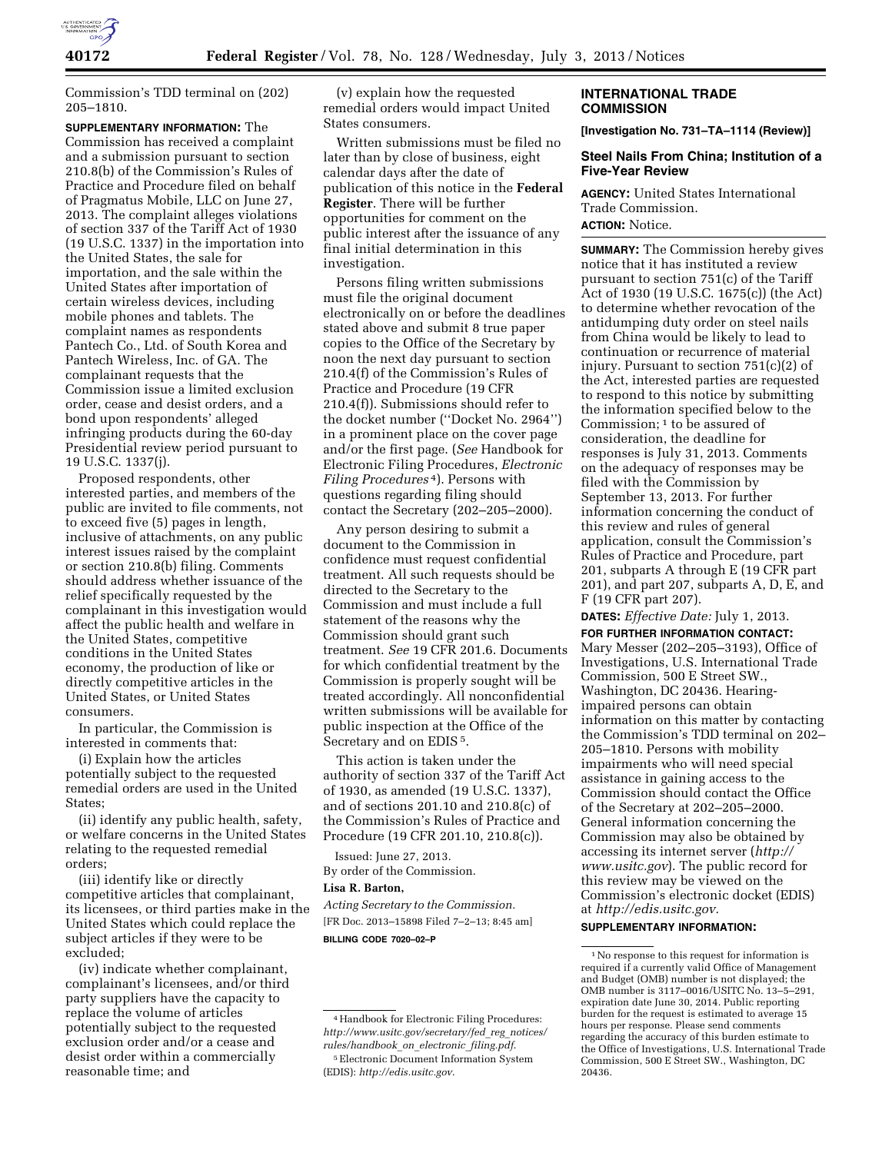

Commission's TDD terminal on (202) 205–1810.

**SUPPLEMENTARY INFORMATION:** The Commission has received a complaint and a submission pursuant to section 210.8(b) of the Commission's Rules of Practice and Procedure filed on behalf of Pragmatus Mobile, LLC on June 27, 2013. The complaint alleges violations of section 337 of the Tariff Act of 1930 (19 U.S.C. 1337) in the importation into the United States, the sale for importation, and the sale within the United States after importation of certain wireless devices, including mobile phones and tablets. The complaint names as respondents Pantech Co., Ltd. of South Korea and Pantech Wireless, Inc. of GA. The complainant requests that the Commission issue a limited exclusion order, cease and desist orders, and a bond upon respondents' alleged infringing products during the 60-day Presidential review period pursuant to 19 U.S.C. 1337(j).

Proposed respondents, other interested parties, and members of the public are invited to file comments, not to exceed five (5) pages in length, inclusive of attachments, on any public interest issues raised by the complaint or section 210.8(b) filing. Comments should address whether issuance of the relief specifically requested by the complainant in this investigation would affect the public health and welfare in the United States, competitive conditions in the United States economy, the production of like or directly competitive articles in the United States, or United States consumers.

In particular, the Commission is interested in comments that:

(i) Explain how the articles potentially subject to the requested remedial orders are used in the United States;

(ii) identify any public health, safety, or welfare concerns in the United States relating to the requested remedial orders;

(iii) identify like or directly competitive articles that complainant, its licensees, or third parties make in the United States which could replace the subject articles if they were to be excluded;

(iv) indicate whether complainant, complainant's licensees, and/or third party suppliers have the capacity to replace the volume of articles potentially subject to the requested exclusion order and/or a cease and desist order within a commercially reasonable time; and

(v) explain how the requested remedial orders would impact United States consumers.

Written submissions must be filed no later than by close of business, eight calendar days after the date of publication of this notice in the **Federal Register**. There will be further opportunities for comment on the public interest after the issuance of any final initial determination in this investigation.

Persons filing written submissions must file the original document electronically on or before the deadlines stated above and submit 8 true paper copies to the Office of the Secretary by noon the next day pursuant to section 210.4(f) of the Commission's Rules of Practice and Procedure (19 CFR 210.4(f)). Submissions should refer to the docket number (''Docket No. 2964'') in a prominent place on the cover page and/or the first page. (*See* Handbook for Electronic Filing Procedures, *Electronic Filing Procedures* 4). Persons with questions regarding filing should contact the Secretary (202–205–2000).

Any person desiring to submit a document to the Commission in confidence must request confidential treatment. All such requests should be directed to the Secretary to the Commission and must include a full statement of the reasons why the Commission should grant such treatment. *See* 19 CFR 201.6. Documents for which confidential treatment by the Commission is properly sought will be treated accordingly. All nonconfidential written submissions will be available for public inspection at the Office of the Secretary and on EDIS 5.

This action is taken under the authority of section 337 of the Tariff Act of 1930, as amended (19 U.S.C. 1337), and of sections 201.10 and 210.8(c) of the Commission's Rules of Practice and Procedure (19 CFR 201.10, 210.8(c)).

Issued: June 27, 2013. By order of the Commission.

#### **Lisa R. Barton,**

*Acting Secretary to the Commission.*  [FR Doc. 2013–15898 Filed 7–2–13; 8:45 am] **BILLING CODE 7020–02–P** 

## **INTERNATIONAL TRADE COMMISSION**

**[Investigation No. 731–TA–1114 (Review)]** 

## **Steel Nails From China; Institution of a Five-Year Review**

**AGENCY:** United States International Trade Commission. **ACTION:** Notice.

**SUMMARY:** The Commission hereby gives notice that it has instituted a review pursuant to section 751(c) of the Tariff Act of 1930 (19 U.S.C. 1675(c)) (the Act) to determine whether revocation of the antidumping duty order on steel nails from China would be likely to lead to continuation or recurrence of material injury. Pursuant to section 751(c)(2) of the Act, interested parties are requested to respond to this notice by submitting the information specified below to the Commission; 1 to be assured of consideration, the deadline for responses is July 31, 2013. Comments on the adequacy of responses may be filed with the Commission by September 13, 2013. For further information concerning the conduct of this review and rules of general application, consult the Commission's Rules of Practice and Procedure, part 201, subparts A through E (19 CFR part 201), and part 207, subparts A, D, E, and F (19 CFR part 207).

**DATES:** *Effective Date:* July 1, 2013.

**FOR FURTHER INFORMATION CONTACT:**  Mary Messer (202–205–3193), Office of Investigations, U.S. International Trade Commission, 500 E Street SW., Washington, DC 20436. Hearingimpaired persons can obtain information on this matter by contacting the Commission's TDD terminal on 202– 205–1810. Persons with mobility impairments who will need special assistance in gaining access to the Commission should contact the Office of the Secretary at 202–205–2000. General information concerning the Commission may also be obtained by accessing its internet server (*[http://](http://www.usitc.gov)  [www.usitc.gov](http://www.usitc.gov)*). The public record for this review may be viewed on the Commission's electronic docket (EDIS) at *[http://edis.usitc.gov.](http://edis.usitc.gov)* 

## **SUPPLEMENTARY INFORMATION:**

<sup>4</sup>Handbook for Electronic Filing Procedures: *[http://www.usitc.gov/secretary/fed](http://www.usitc.gov/secretary/fed_reg_notices/rules/handbook_on_electronic_filing.pdf)*\_*reg*\_*notices/ [rules/handbook](http://www.usitc.gov/secretary/fed_reg_notices/rules/handbook_on_electronic_filing.pdf)*\_*on*\_*electronic*\_*filing.pdf*. 5Electronic Document Information System (EDIS): *<http://edis.usitc.gov>*.

<sup>1</sup>No response to this request for information is required if a currently valid Office of Management and Budget (OMB) number is not displayed; the OMB number is 3117–0016/USITC No. 13–5–291, expiration date June 30, 2014. Public reporting burden for the request is estimated to average 15 hours per response. Please send comments regarding the accuracy of this burden estimate to the Office of Investigations, U.S. International Trade Commission, 500 E Street SW., Washington, DC 20436.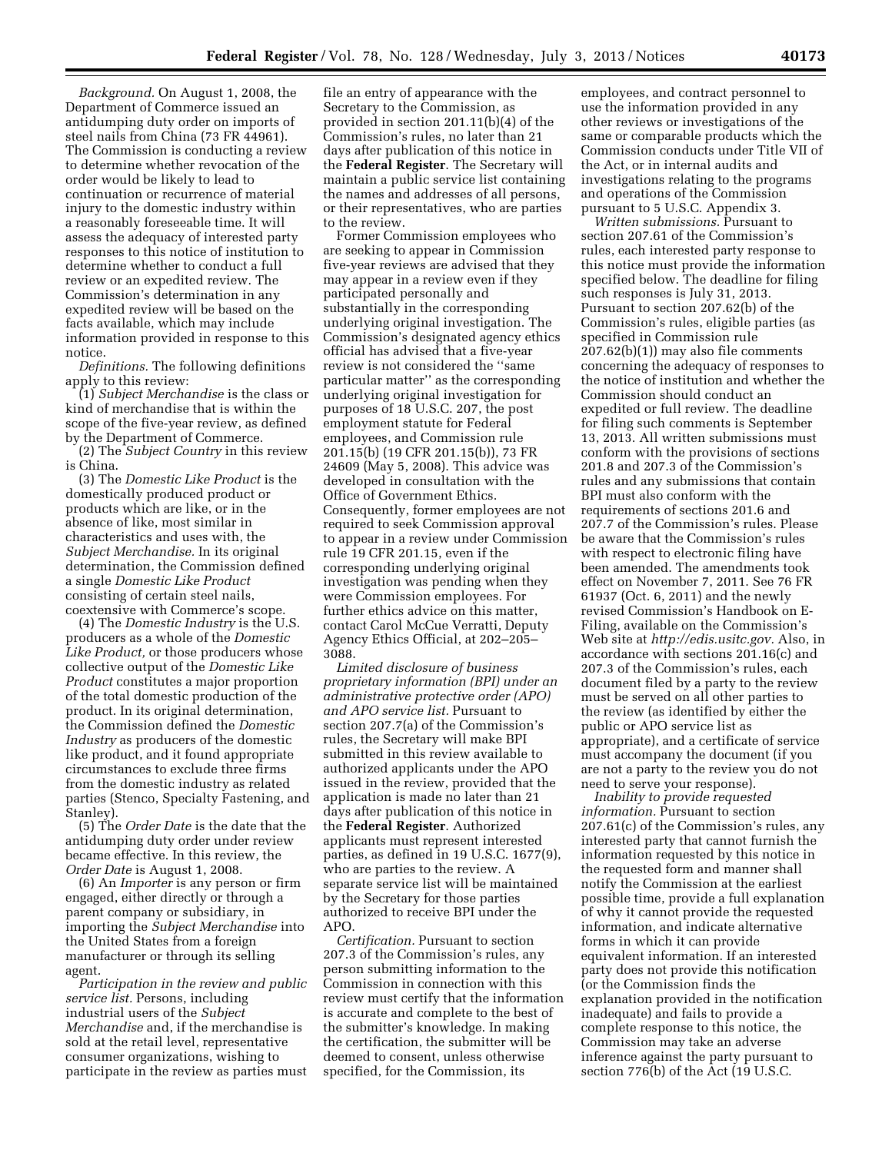*Background.* On August 1, 2008, the Department of Commerce issued an antidumping duty order on imports of steel nails from China (73 FR 44961). The Commission is conducting a review to determine whether revocation of the order would be likely to lead to continuation or recurrence of material injury to the domestic industry within a reasonably foreseeable time. It will assess the adequacy of interested party responses to this notice of institution to determine whether to conduct a full review or an expedited review. The Commission's determination in any expedited review will be based on the facts available, which may include information provided in response to this notice.

*Definitions.* The following definitions apply to this review:

(1) *Subject Merchandise* is the class or kind of merchandise that is within the scope of the five-year review, as defined by the Department of Commerce.

(2) The *Subject Country* in this review is China.

(3) The *Domestic Like Product* is the domestically produced product or products which are like, or in the absence of like, most similar in characteristics and uses with, the *Subject Merchandise.* In its original determination, the Commission defined a single *Domestic Like Product*  consisting of certain steel nails, coextensive with Commerce's scope.

(4) The *Domestic Industry* is the U.S. producers as a whole of the *Domestic Like Product,* or those producers whose collective output of the *Domestic Like Product* constitutes a major proportion of the total domestic production of the product. In its original determination, the Commission defined the *Domestic Industry* as producers of the domestic like product, and it found appropriate circumstances to exclude three firms from the domestic industry as related parties (Stenco, Specialty Fastening, and Stanley).

(5) The *Order Date* is the date that the antidumping duty order under review became effective. In this review, the *Order Date* is August 1, 2008.

(6) An *Importer* is any person or firm engaged, either directly or through a parent company or subsidiary, in importing the *Subject Merchandise* into the United States from a foreign manufacturer or through its selling agent.

*Participation in the review and public service list.* Persons, including industrial users of the *Subject Merchandise* and, if the merchandise is sold at the retail level, representative consumer organizations, wishing to participate in the review as parties must file an entry of appearance with the Secretary to the Commission, as provided in section 201.11(b)(4) of the Commission's rules, no later than 21 days after publication of this notice in the **Federal Register**. The Secretary will maintain a public service list containing the names and addresses of all persons, or their representatives, who are parties to the review.

Former Commission employees who are seeking to appear in Commission five-year reviews are advised that they may appear in a review even if they participated personally and substantially in the corresponding underlying original investigation. The Commission's designated agency ethics official has advised that a five-year review is not considered the ''same particular matter'' as the corresponding underlying original investigation for purposes of 18 U.S.C. 207, the post employment statute for Federal employees, and Commission rule 201.15(b) (19 CFR 201.15(b)), 73 FR 24609 (May 5, 2008). This advice was developed in consultation with the Office of Government Ethics. Consequently, former employees are not required to seek Commission approval to appear in a review under Commission rule 19 CFR 201.15, even if the corresponding underlying original investigation was pending when they were Commission employees. For further ethics advice on this matter, contact Carol McCue Verratti, Deputy Agency Ethics Official, at 202–205– 3088.

*Limited disclosure of business proprietary information (BPI) under an administrative protective order (APO) and APO service list.* Pursuant to section 207.7(a) of the Commission's rules, the Secretary will make BPI submitted in this review available to authorized applicants under the APO issued in the review, provided that the application is made no later than 21 days after publication of this notice in the **Federal Register**. Authorized applicants must represent interested parties, as defined in 19 U.S.C. 1677(9), who are parties to the review. A separate service list will be maintained by the Secretary for those parties authorized to receive BPI under the APO.

*Certification.* Pursuant to section 207.3 of the Commission's rules, any person submitting information to the Commission in connection with this review must certify that the information is accurate and complete to the best of the submitter's knowledge. In making the certification, the submitter will be deemed to consent, unless otherwise specified, for the Commission, its

employees, and contract personnel to use the information provided in any other reviews or investigations of the same or comparable products which the Commission conducts under Title VII of the Act, or in internal audits and investigations relating to the programs and operations of the Commission pursuant to 5 U.S.C. Appendix 3.

*Written submissions.* Pursuant to section 207.61 of the Commission's rules, each interested party response to this notice must provide the information specified below. The deadline for filing such responses is July 31, 2013. Pursuant to section 207.62(b) of the Commission's rules, eligible parties (as specified in Commission rule 207.62(b)(1)) may also file comments concerning the adequacy of responses to the notice of institution and whether the Commission should conduct an expedited or full review. The deadline for filing such comments is September 13, 2013. All written submissions must conform with the provisions of sections 201.8 and 207.3 of the Commission's rules and any submissions that contain BPI must also conform with the requirements of sections 201.6 and 207.7 of the Commission's rules. Please be aware that the Commission's rules with respect to electronic filing have been amended. The amendments took effect on November 7, 2011. See 76 FR 61937 (Oct. 6, 2011) and the newly revised Commission's Handbook on E-Filing, available on the Commission's Web site at *[http://edis.usitc.gov.](http://edis.usitc.gov)* Also, in accordance with sections 201.16(c) and 207.3 of the Commission's rules, each document filed by a party to the review must be served on all other parties to the review (as identified by either the public or APO service list as appropriate), and a certificate of service must accompany the document (if you are not a party to the review you do not need to serve your response).

*Inability to provide requested information.* Pursuant to section 207.61(c) of the Commission's rules, any interested party that cannot furnish the information requested by this notice in the requested form and manner shall notify the Commission at the earliest possible time, provide a full explanation of why it cannot provide the requested information, and indicate alternative forms in which it can provide equivalent information. If an interested party does not provide this notification (or the Commission finds the explanation provided in the notification inadequate) and fails to provide a complete response to this notice, the Commission may take an adverse inference against the party pursuant to section 776(b) of the Act (19 U.S.C.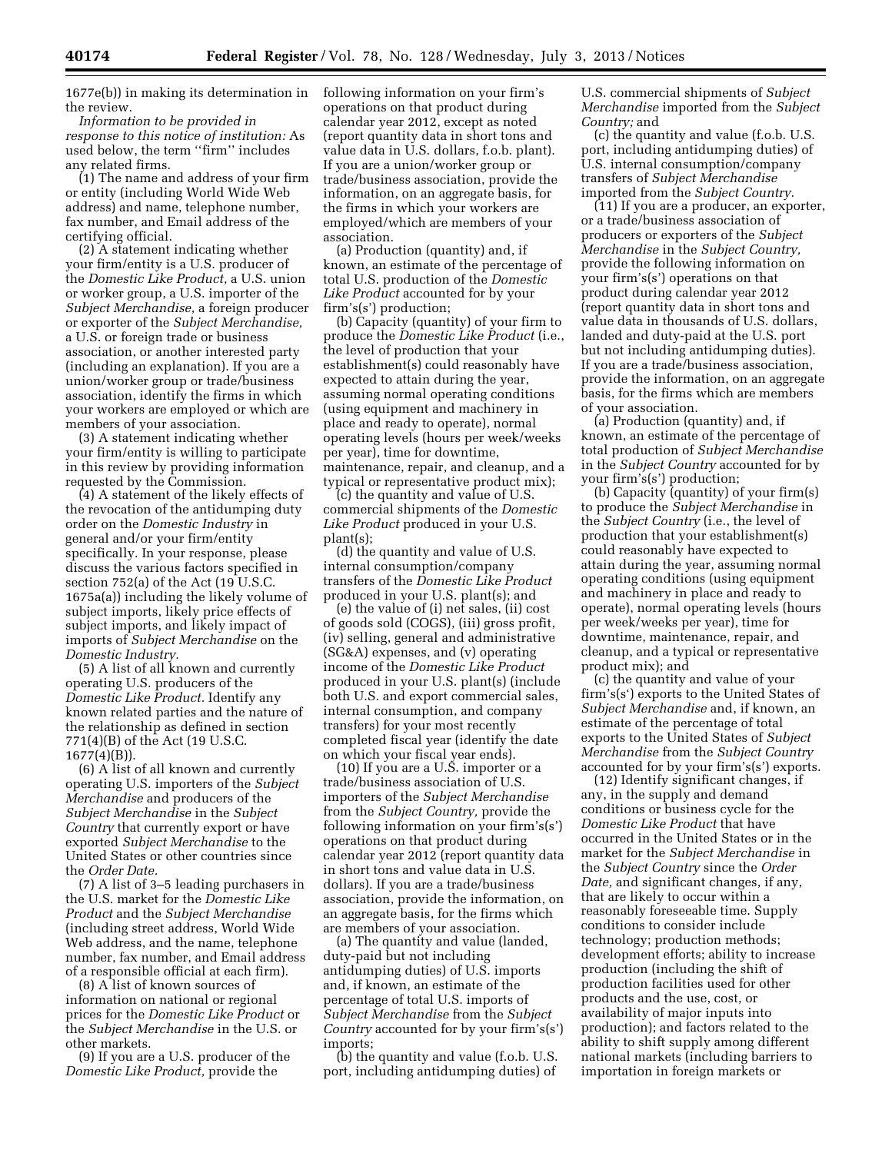1677e(b)) in making its determination in the review.

*Information to be provided in response to this notice of institution:* As used below, the term ''firm'' includes any related firms.

(1) The name and address of your firm or entity (including World Wide Web address) and name, telephone number, fax number, and Email address of the certifying official.

(2) A statement indicating whether your firm/entity is a U.S. producer of the *Domestic Like Product,* a U.S. union or worker group, a U.S. importer of the *Subject Merchandise,* a foreign producer or exporter of the *Subject Merchandise,*  a U.S. or foreign trade or business association, or another interested party (including an explanation). If you are a union/worker group or trade/business association, identify the firms in which your workers are employed or which are members of your association.

(3) A statement indicating whether your firm/entity is willing to participate in this review by providing information requested by the Commission.

(4) A statement of the likely effects of the revocation of the antidumping duty order on the *Domestic Industry* in general and/or your firm/entity specifically. In your response, please discuss the various factors specified in section 752(a) of the Act (19 U.S.C. 1675a(a)) including the likely volume of subject imports, likely price effects of subject imports, and likely impact of imports of *Subject Merchandise* on the *Domestic Industry.* 

(5) A list of all known and currently operating U.S. producers of the *Domestic Like Product.* Identify any known related parties and the nature of the relationship as defined in section 771(4)(B) of the Act (19 U.S.C.  $1677(4)(B)$ ).

(6) A list of all known and currently operating U.S. importers of the *Subject Merchandise* and producers of the *Subject Merchandise* in the *Subject Country* that currently export or have exported *Subject Merchandise* to the United States or other countries since the *Order Date.* 

(7) A list of 3–5 leading purchasers in the U.S. market for the *Domestic Like Product* and the *Subject Merchandise*  (including street address, World Wide Web address, and the name, telephone number, fax number, and Email address of a responsible official at each firm).

(8) A list of known sources of information on national or regional prices for the *Domestic Like Product* or the *Subject Merchandise* in the U.S. or other markets.

(9) If you are a U.S. producer of the *Domestic Like Product,* provide the

following information on your firm's operations on that product during calendar year 2012, except as noted (report quantity data in short tons and value data in U.S. dollars, f.o.b. plant). If you are a union/worker group or trade/business association, provide the information, on an aggregate basis, for the firms in which your workers are employed/which are members of your association.

(a) Production (quantity) and, if known, an estimate of the percentage of total U.S. production of the *Domestic Like Product* accounted for by your firm's(s') production;

(b) Capacity (quantity) of your firm to produce the *Domestic Like Product* (i.e., the level of production that your establishment(s) could reasonably have expected to attain during the year, assuming normal operating conditions (using equipment and machinery in place and ready to operate), normal operating levels (hours per week/weeks per year), time for downtime, maintenance, repair, and cleanup, and a typical or representative product mix);

(c) the quantity and value of U.S. commercial shipments of the *Domestic Like Product* produced in your U.S. plant(s);

(d) the quantity and value of U.S. internal consumption/company transfers of the *Domestic Like Product*  produced in your U.S. plant(s); and

(e) the value of (i) net sales, (ii) cost of goods sold (COGS), (iii) gross profit, (iv) selling, general and administrative (SG&A) expenses, and (v) operating income of the *Domestic Like Product*  produced in your U.S. plant(s) (include both U.S. and export commercial sales, internal consumption, and company transfers) for your most recently completed fiscal year (identify the date on which your fiscal year ends).

(10) If you are a U.S. importer or a trade/business association of U.S. importers of the *Subject Merchandise*  from the *Subject Country,* provide the following information on your firm's(s') operations on that product during calendar year 2012 (report quantity data in short tons and value data in U.S. dollars). If you are a trade/business association, provide the information, on an aggregate basis, for the firms which are members of your association.

(a) The quantity and value (landed, duty-paid but not including antidumping duties) of U.S. imports and, if known, an estimate of the percentage of total U.S. imports of *Subject Merchandise* from the *Subject Country* accounted for by your firm's(s') imports;

(b) the quantity and value (f.o.b. U.S. port, including antidumping duties) of

U.S. commercial shipments of *Subject Merchandise* imported from the *Subject Country;* and

(c) the quantity and value (f.o.b. U.S. port, including antidumping duties) of U.S. internal consumption/company transfers of *Subject Merchandise*  imported from the *Subject Country.* 

(11) If you are a producer, an exporter, or a trade/business association of producers or exporters of the *Subject Merchandise* in the *Subject Country,*  provide the following information on your firm's(s') operations on that product during calendar year 2012 (report quantity data in short tons and value data in thousands of U.S. dollars, landed and duty-paid at the U.S. port but not including antidumping duties). If you are a trade/business association, provide the information, on an aggregate basis, for the firms which are members of your association.

(a) Production (quantity) and, if known, an estimate of the percentage of total production of *Subject Merchandise*  in the *Subject Country* accounted for by your firm's(s') production;

(b) Capacity (quantity) of your firm(s) to produce the *Subject Merchandise* in the *Subject Country* (i.e., the level of production that your establishment(s) could reasonably have expected to attain during the year, assuming normal operating conditions (using equipment and machinery in place and ready to operate), normal operating levels (hours per week/weeks per year), time for downtime, maintenance, repair, and cleanup, and a typical or representative product mix); and

(c) the quantity and value of your firm's(s') exports to the United States of *Subject Merchandise* and, if known, an estimate of the percentage of total exports to the United States of *Subject Merchandise* from the *Subject Country*  accounted for by your firm's(s') exports.

(12) Identify significant changes, if any, in the supply and demand conditions or business cycle for the *Domestic Like Product* that have occurred in the United States or in the market for the *Subject Merchandise* in the *Subject Country* since the *Order Date,* and significant changes, if any, that are likely to occur within a reasonably foreseeable time. Supply conditions to consider include technology; production methods; development efforts; ability to increase production (including the shift of production facilities used for other products and the use, cost, or availability of major inputs into production); and factors related to the ability to shift supply among different national markets (including barriers to importation in foreign markets or